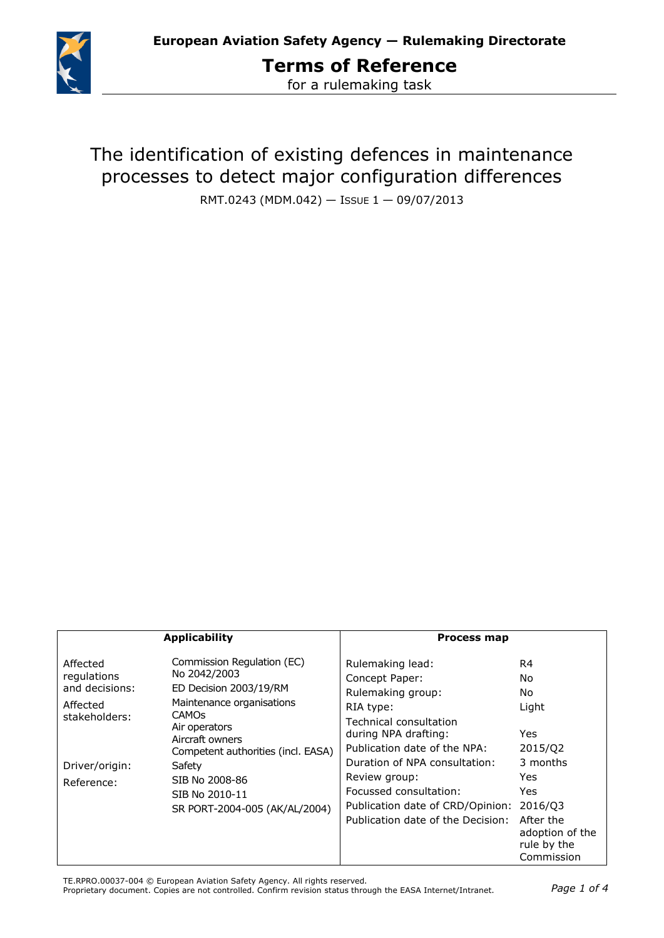

**Terms of Reference** for a rulemaking task

The identification of existing defences in maintenance processes to detect major configuration differences

RMT.0243 (MDM.042) — ISSUE 1 — 09/07/2013

| <b>Applicability</b>                                                   |                                                                                                                                      | <b>Process map</b>                                                                                                                                                                                        |                                                                                                                          |
|------------------------------------------------------------------------|--------------------------------------------------------------------------------------------------------------------------------------|-----------------------------------------------------------------------------------------------------------------------------------------------------------------------------------------------------------|--------------------------------------------------------------------------------------------------------------------------|
| Affected<br>regulations<br>and decisions:<br>Affected<br>stakeholders: | Commission Regulation (EC)<br>No 2042/2003<br>ED Decision 2003/19/RM<br>Maintenance organisations<br><b>CAMOS</b><br>Air operators   | Rulemaking lead:<br>Concept Paper:<br>Rulemaking group:<br>RIA type:<br>Technical consultation                                                                                                            | R4<br>No.<br>No<br>Light                                                                                                 |
| Driver/origin:<br>Reference:                                           | Aircraft owners<br>Competent authorities (incl. EASA)<br>Safety<br>SIB No 2008-86<br>SIB No 2010-11<br>SR PORT-2004-005 (AK/AL/2004) | during NPA drafting:<br>Publication date of the NPA:<br>Duration of NPA consultation:<br>Review group:<br>Focussed consultation:<br>Publication date of CRD/Opinion:<br>Publication date of the Decision: | <b>Yes</b><br>2015/Q2<br>3 months<br>Yes.<br>Yes<br>2016/Q3<br>After the<br>adoption of the<br>rule by the<br>Commission |

TE.RPRO.00037-004 © European Aviation Safety Agency. All rights reserved.

Proprietary document. Copies are not controlled. Confirm revision status through the EASA Internet/Intranet. *Page 1 of 4*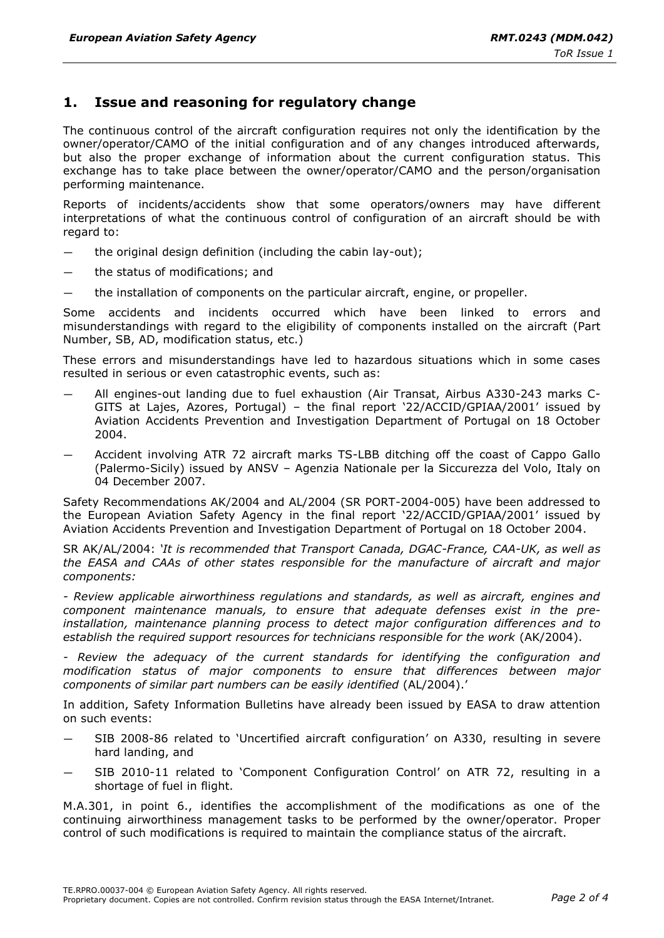# **1. Issue and reasoning for regulatory change**

The continuous control of the aircraft configuration requires not only the identification by the owner/operator/CAMO of the initial configuration and of any changes introduced afterwards, but also the proper exchange of information about the current configuration status. This exchange has to take place between the owner/operator/CAMO and the person/organisation performing maintenance.

Reports of incidents/accidents show that some operators/owners may have different interpretations of what the continuous control of configuration of an aircraft should be with regard to:

- the original design definition (including the cabin lay-out);
- the status of modifications; and
- the installation of components on the particular aircraft, engine, or propeller.

Some accidents and incidents occurred which have been linked to errors and misunderstandings with regard to the eligibility of components installed on the aircraft (Part Number, SB, AD, modification status, etc.)

These errors and misunderstandings have led to hazardous situations which in some cases resulted in serious or even catastrophic events, such as:

- All engines-out landing due to fuel exhaustion (Air Transat, Airbus A330-243 marks C-GITS at Lajes, Azores, Portugal) – the final report '22/ACCID/GPIAA/2001' issued by Aviation Accidents Prevention and Investigation Department of Portugal on 18 October 2004.
- Accident involving ATR 72 aircraft marks TS-LBB ditching off the coast of Cappo Gallo (Palermo-Sicily) issued by ANSV – Agenzia Nationale per la Siccurezza del Volo, Italy on 04 December 2007.

Safety Recommendations AK/2004 and AL/2004 (SR PORT-2004-005) have been addressed to the European Aviation Safety Agency in the final report '22/ACCID/GPIAA/2001' issued by Aviation Accidents Prevention and Investigation Department of Portugal on 18 October 2004.

SR AK/AL/2004: *'It is recommended that Transport Canada, DGAC-France, CAA-UK, as well as the EASA and CAAs of other states responsible for the manufacture of aircraft and major components:*

*- Review applicable airworthiness regulations and standards, as well as aircraft, engines and component maintenance manuals, to ensure that adequate defenses exist in the preinstallation, maintenance planning process to detect major configuration differences and to establish the required support resources for technicians responsible for the work* (AK/2004).

*- Review the adequacy of the current standards for identifying the configuration and modification status of major components to ensure that differences between major components of similar part numbers can be easily identified* (AL/2004).'

In addition, Safety Information Bulletins have already been issued by EASA to draw attention on such events:

- SIB 2008-86 related to 'Uncertified aircraft configuration' on A330, resulting in severe hard landing, and
- SIB 2010-11 related to 'Component Configuration Control' on ATR 72, resulting in a shortage of fuel in flight.

M.A.301, in point 6., identifies the accomplishment of the modifications as one of the continuing airworthiness management tasks to be performed by the owner/operator. Proper control of such modifications is required to maintain the compliance status of the aircraft.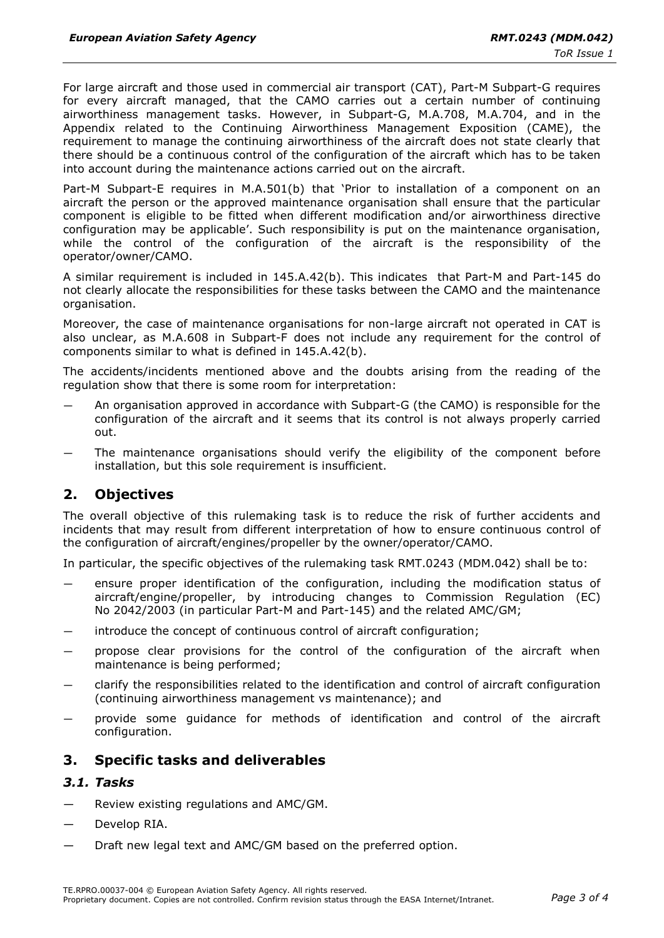For large aircraft and those used in commercial air transport (CAT), Part-M Subpart-G requires for every aircraft managed, that the CAMO carries out a certain number of continuing airworthiness management tasks. However, in Subpart-G, M.A.708, M.A.704, and in the Appendix related to the Continuing Airworthiness Management Exposition (CAME), the requirement to manage the continuing airworthiness of the aircraft does not state clearly that there should be a continuous control of the configuration of the aircraft which has to be taken into account during the maintenance actions carried out on the aircraft.

Part-M Subpart-E requires in M.A.501(b) that 'Prior to installation of a component on an aircraft the person or the approved maintenance organisation shall ensure that the particular component is eligible to be fitted when different modification and/or airworthiness directive configuration may be applicable'. Such responsibility is put on the maintenance organisation, while the control of the configuration of the aircraft is the responsibility of the operator/owner/CAMO.

A similar requirement is included in 145.A.42(b). This indicates that Part-M and Part-145 do not clearly allocate the responsibilities for these tasks between the CAMO and the maintenance organisation.

Moreover, the case of maintenance organisations for non-large aircraft not operated in CAT is also unclear, as M.A.608 in Subpart-F does not include any requirement for the control of components similar to what is defined in 145.A.42(b).

The accidents/incidents mentioned above and the doubts arising from the reading of the regulation show that there is some room for interpretation:

- An organisation approved in accordance with Subpart-G (the CAMO) is responsible for the configuration of the aircraft and it seems that its control is not always properly carried out.
- The maintenance organisations should verify the eligibility of the component before installation, but this sole requirement is insufficient.

# **2. Objectives**

The overall objective of this rulemaking task is to reduce the risk of further accidents and incidents that may result from different interpretation of how to ensure continuous control of the configuration of aircraft/engines/propeller by the owner/operator/CAMO.

In particular, the specific objectives of the rulemaking task RMT.0243 (MDM.042) shall be to:

- ensure proper identification of the configuration, including the modification status of aircraft/engine/propeller, by introducing changes to Commission Regulation (EC) No 2042/2003 (in particular Part-M and Part-145) and the related AMC/GM;
- introduce the concept of continuous control of aircraft configuration;
- propose clear provisions for the control of the configuration of the aircraft when maintenance is being performed;
- clarify the responsibilities related to the identification and control of aircraft configuration (continuing airworthiness management vs maintenance); and
- provide some guidance for methods of identification and control of the aircraft configuration.

# **3. Specific tasks and deliverables**

#### *3.1. Tasks*

- Review existing regulations and AMC/GM.
- Develop RIA.
- Draft new legal text and AMC/GM based on the preferred option.